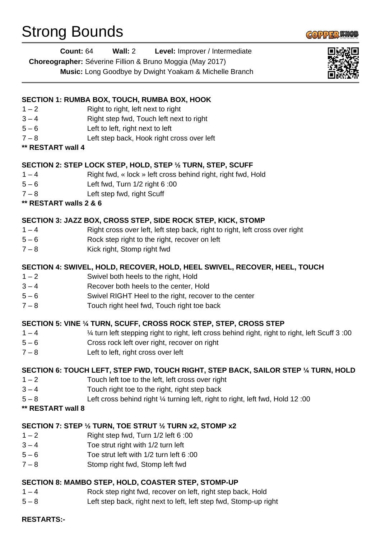# Strong Bounds



| Level: Improver / Intermediate<br>Count: 64<br>Wall: 2 |  |
|--------------------------------------------------------|--|
|--------------------------------------------------------|--|

**Choreographer:** Séverine Fillion & Bruno Moggia (May 2017)

**Music:** Long Goodbye by Dwight Yoakam & Michelle Branch



#### **SECTION 1: RUMBA BOX, TOUCH, RUMBA BOX, HOOK**

- $1 2$  Right to right, left next to right
- 3 4 Right step fwd, Touch left next to right
- 5 6 Left to left, right next to left
- 7 8 Left step back, Hook right cross over left
- **\*\* RESTART wall 4**

# **SECTION 2: STEP LOCK STEP, HOLD, STEP ½ TURN, STEP, SCUFF**

- 1 4 Right fwd, « lock » left cross behind right, right fwd, Hold
- 5 6 Left fwd, Turn 1/2 right 6 :00
- 7 8 Left step fwd, right Scuff
- **\*\* RESTART walls 2 & 6**

# **SECTION 3: JAZZ BOX, CROSS STEP, SIDE ROCK STEP, KICK, STOMP**

- 1 4 Right cross over left, left step back, right to right, left cross over right
- 5 6 Rock step right to the right, recover on left
- 7 8 Kick right, Stomp right fwd

#### **SECTION 4: SWIVEL, HOLD, RECOVER, HOLD, HEEL SWIVEL, RECOVER, HEEL, TOUCH**

- 1 2 Swivel both heels to the right, Hold
- 3 4 Recover both heels to the center, Hold
- 5 6 Swivel RIGHT Heel to the right, recover to the center
- 7 8 Touch right heel fwd, Touch right toe back

# **SECTION 5: VINE ¼ TURN, SCUFF, CROSS ROCK STEP, STEP, CROSS STEP**

- 1 4 ¼ turn left stepping right to right, left cross behind right, right to right, left Scuff 3 :00
- 5 6 Cross rock left over right, recover on right
- 7 8 Left to left, right cross over left

# **SECTION 6: TOUCH LEFT, STEP FWD, TOUCH RIGHT, STEP BACK, SAILOR STEP ¼ TURN, HOLD**

- 1 2 Touch left toe to the left, left cross over right
- $3 4$  Touch right toe to the right, right step back
- 5 8 Left cross behind right ¼ turning left, right to right, left fwd, Hold 12 :00
- **\*\* RESTART wall 8**

# **SECTION 7: STEP ½ TURN, TOE STRUT ½ TURN x2, STOMP x2**

- $1 2$  Right step fwd, Turn  $1/2$  left 6:00
- $3 4$  Toe strut right with  $1/2$  turn left
- 5 6 Toe strut left with 1/2 turn left 6 :00
- 7 8 Stomp right fwd, Stomp left fwd

# **SECTION 8: MAMBO STEP, HOLD, COASTER STEP, STOMP-UP**

- 1 4 Rock step right fwd, recover on left, right step back, Hold
- 5 8 Left step back, right next to left, left step fwd, Stomp-up right

#### **RESTARTS:-**